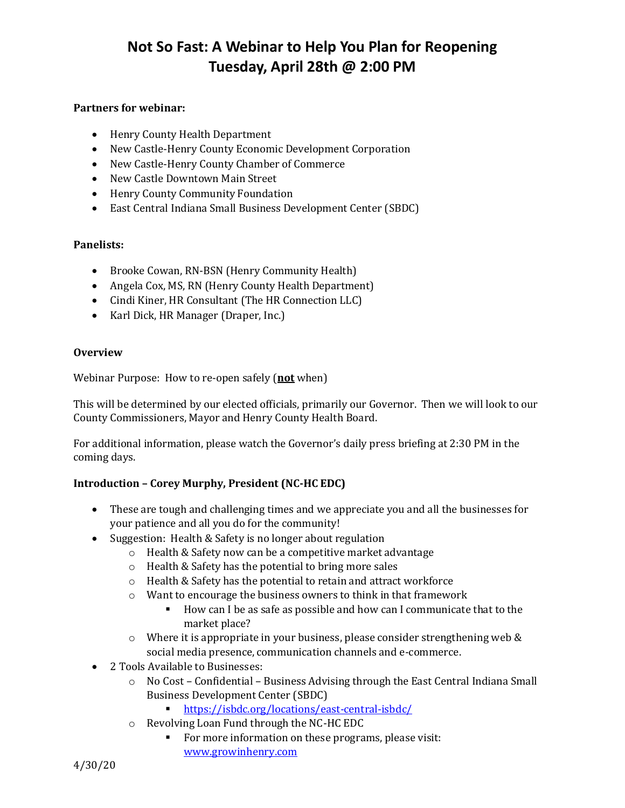# **Not So Fast: A Webinar to Help You Plan for Reopening Tuesday, April 28th @ 2:00 PM**

#### **Partners for webinar:**

- Henry County Health Department
- New Castle-Henry County Economic Development Corporation
- New Castle-Henry County Chamber of Commerce
- New Castle Downtown Main Street
- Henry County Community Foundation
- East Central Indiana Small Business Development Center (SBDC)

#### **Panelists:**

- Brooke Cowan, RN-BSN (Henry Community Health)
- Angela Cox, MS, RN (Henry County Health Department)
- Cindi Kiner, HR Consultant (The HR Connection LLC)
- Karl Dick, HR Manager (Draper, Inc.)

#### **Overview**

Webinar Purpose: How to re-open safely (**not** when)

This will be determined by our elected officials, primarily our Governor. Then we will look to our County Commissioners, Mayor and Henry County Health Board.

For additional information, please watch the Governor's daily press briefing at 2:30 PM in the coming days.

## **Introduction – Corey Murphy, President (NC-HC EDC)**

- These are tough and challenging times and we appreciate you and all the businesses for your patience and all you do for the community!
- Suggestion: Health & Safety is no longer about regulation
	- o Health & Safety now can be a competitive market advantage
	- o Health & Safety has the potential to bring more sales
	- o Health & Safety has the potential to retain and attract workforce
	- o Want to encourage the business owners to think in that framework
		- How can I be as safe as possible and how can I communicate that to the market place?
	- $\circ$  Where it is appropriate in your business, please consider strengthening web & social media presence, communication channels and e-commerce.
- 2 Tools Available to Businesses:
	- $\circ$  No Cost Confidential Business Advising through the East Central Indiana Small Business Development Center (SBDC)
		- <https://isbdc.org/locations/east-central-isbdc/>
	- o Revolving Loan Fund through the NC-HC EDC
		- For more information on these programs, please visit: [www.growinhenry.com](http://www.growinhenry.com/)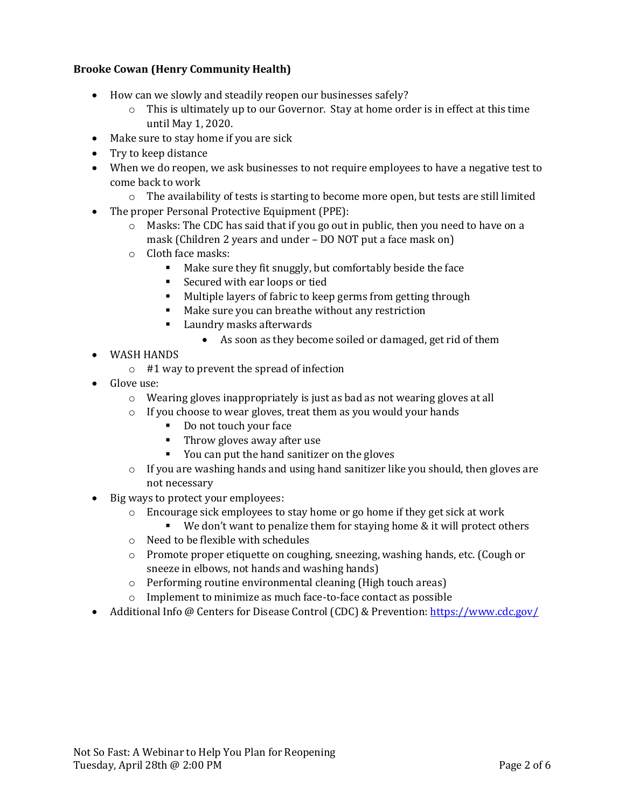## **Brooke Cowan (Henry Community Health)**

- How can we slowly and steadily reopen our businesses safely?
	- $\circ$  This is ultimately up to our Governor. Stay at home order is in effect at this time until May 1, 2020.
- Make sure to stay home if you are sick
- Try to keep distance
- When we do reopen, we ask businesses to not require employees to have a negative test to come back to work
	- $\circ$  The availability of tests is starting to become more open, but tests are still limited
- The proper Personal Protective Equipment (PPE):
	- $\circ$  Masks: The CDC has said that if you go out in public, then you need to have on a mask (Children 2 years and under – DO NOT put a face mask on)
	- o Cloth face masks:
		- Make sure they fit snuggly, but comfortably beside the face
		- Secured with ear loops or tied
		- Multiple layers of fabric to keep germs from getting through
		- Make sure you can breathe without any restriction
		- Laundry masks afterwards
			- As soon as they become soiled or damaged, get rid of them
- WASH HANDS
	- o #1 way to prevent the spread of infection
- Glove use:
	- o Wearing gloves inappropriately is just as bad as not wearing gloves at all
	- o If you choose to wear gloves, treat them as you would your hands
		- Do not touch your face
		- Throw gloves away after use
		- You can put the hand sanitizer on the gloves
	- $\circ$  If you are washing hands and using hand sanitizer like you should, then gloves are not necessary
- Big ways to protect your employees:
	- o Encourage sick employees to stay home or go home if they get sick at work
		- We don't want to penalize them for staying home  $&$  it will protect others
	- o Need to be flexible with schedules
	- o Promote proper etiquette on coughing, sneezing, washing hands, etc. (Cough or sneeze in elbows, not hands and washing hands)
	- o Performing routine environmental cleaning (High touch areas)
	- o Implement to minimize as much face-to-face contact as possible
- Additional Info @ Centers for Disease Control (CDC) & Prevention[: https://www.cdc.gov/](https://www.cdc.gov/)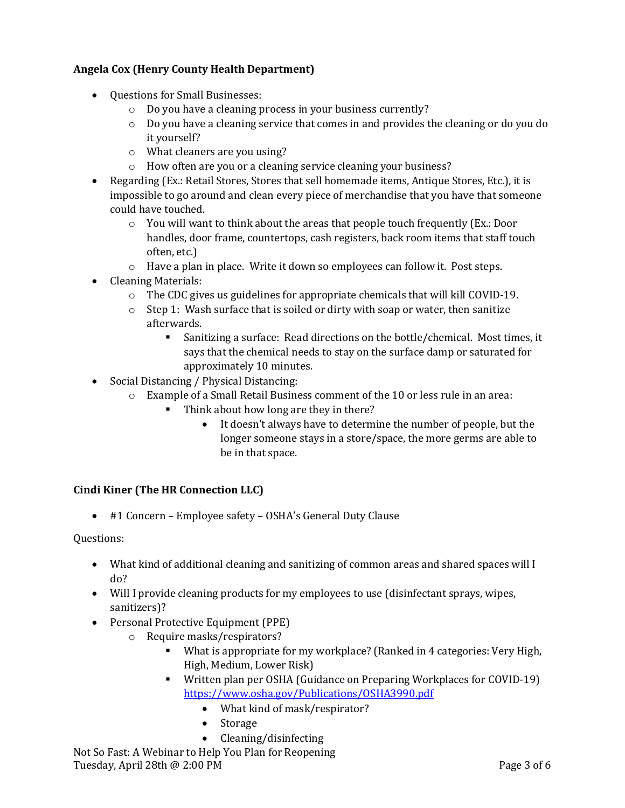# **Angela Cox (Henry County Health Department)**

- Questions for Small Businesses:
	- o Do you have a cleaning process in your business currently?
	- o Do you have a cleaning service that comes in and provides the cleaning or do you do it yourself?
	- o What cleaners are you using?
	- o How often are you or a cleaning service cleaning your business?
- Regarding (Ex.: Retail Stores, Stores that sell homemade items, Antique Stores, Etc.), it is impossible to go around and clean every piece of merchandise that you have that someone could have touched.
	- $\circ$  You will want to think about the areas that people touch frequently (Ex.: Door handles, door frame, countertops, cash registers, back room items that staff touch often, etc.)
	- $\circ$  Have a plan in place. Write it down so employees can follow it. Post steps.
- Cleaning Materials:
	- $\circ$  The CDC gives us guidelines for appropriate chemicals that will kill COVID-19.
	- $\circ$  Step 1: Wash surface that is soiled or dirty with soap or water, then sanitize afterwards.
		- Sanitizing a surface: Read directions on the bottle/chemical. Most times, it says that the chemical needs to stay on the surface damp or saturated for approximately 10 minutes.
- Social Distancing / Physical Distancing:
	- o Example of a Small Retail Business comment of the 10 or less rule in an area:
		- Think about how long are they in there?
			- It doesn't always have to determine the number of people, but the longer someone stays in a store/space, the more germs are able to be in that space.

## **Cindi Kiner (The HR Connection LLC)**

• #1 Concern – Employee safety – OSHA's General Duty Clause

Questions:

- What kind of additional cleaning and sanitizing of common areas and shared spaces will I do?
- Will I provide cleaning products for my employees to use (disinfectant sprays, wipes, sanitizers)?
- Personal Protective Equipment (PPE)
	- o Require masks/respirators?
		- What is appropriate for my workplace? (Ranked in 4 categories: Very High, High, Medium, Lower Risk)
		- Written plan per OSHA (Guidance on Preparing Workplaces for COVID-19) <https://www.osha.gov/Publications/OSHA3990.pdf>
			- What kind of mask/respirator?
			- Storage
			- Cleaning/disinfecting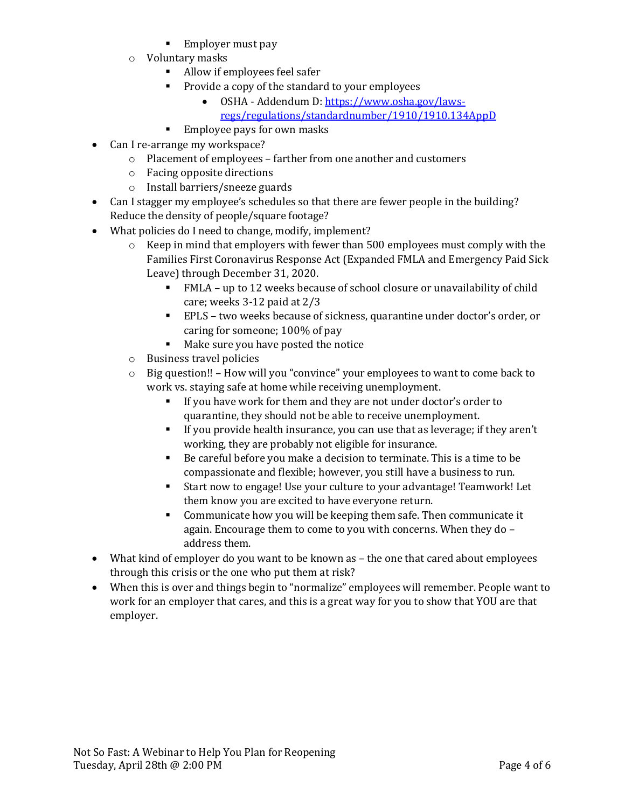- Employer must pay
- o Voluntary masks
	- Allow if employees feel safer
	- Provide a copy of the standard to your employees
		- OSHA Addendum D[: https://www.osha.gov/laws-](https://www.osha.gov/laws-regs/regulations/standardnumber/1910/1910.134AppD)
		- [regs/regulations/standardnumber/1910/1910.134AppD](https://www.osha.gov/laws-regs/regulations/standardnumber/1910/1910.134AppD)
	- Employee pays for own masks
- Can I re-arrange my workspace?
	- o Placement of employees farther from one another and customers
	- o Facing opposite directions
	- o Install barriers/sneeze guards
- Can I stagger my employee's schedules so that there are fewer people in the building? Reduce the density of people/square footage?
- What policies do I need to change, modify, implement?
	- $\circ$  Keep in mind that employers with fewer than 500 employees must comply with the Families First Coronavirus Response Act (Expanded FMLA and Emergency Paid Sick Leave) through December 31, 2020.
		- FMLA up to 12 weeks because of school closure or unavailability of child care; weeks 3-12 paid at 2/3
		- EPLS two weeks because of sickness, quarantine under doctor's order, or caring for someone; 100% of pay
		- Make sure you have posted the notice
	- o Business travel policies
	- $\circ$  Big question!! How will you "convince" your employees to want to come back to work vs. staying safe at home while receiving unemployment.
		- If you have work for them and they are not under doctor's order to quarantine, they should not be able to receive unemployment.
		- If you provide health insurance, you can use that as leverage; if they aren't working, they are probably not eligible for insurance.
		- Be careful before you make a decision to terminate. This is a time to be compassionate and flexible; however, you still have a business to run.
		- Start now to engage! Use your culture to your advantage! Teamwork! Let them know you are excited to have everyone return.
		- Communicate how you will be keeping them safe. Then communicate it again. Encourage them to come to you with concerns. When they do – address them.
- What kind of employer do you want to be known as the one that cared about employees through this crisis or the one who put them at risk?
- When this is over and things begin to "normalize" employees will remember. People want to work for an employer that cares, and this is a great way for you to show that YOU are that employer.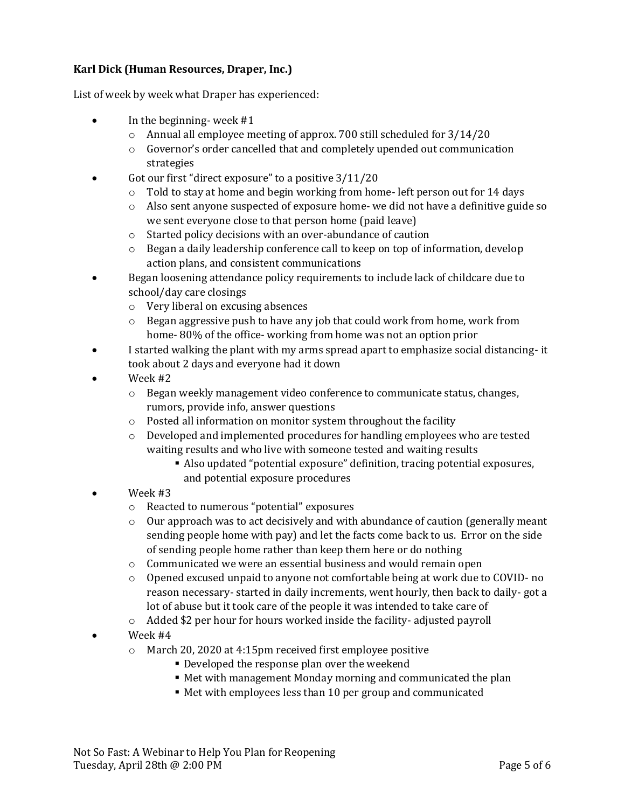## **Karl Dick (Human Resources, Draper, Inc.)**

List of week by week what Draper has experienced:

- In the beginning-week #1
	- o Annual all employee meeting of approx. 700 still scheduled for 3/14/20
	- $\circ$  Governor's order cancelled that and completely upended out communication strategies
- Got our first "direct exposure" to a positive  $3/11/20$ 
	- $\circ$  Told to stay at home and begin working from home- left person out for 14 days
	- $\circ$  Also sent anyone suspected of exposure home- we did not have a definitive guide so we sent everyone close to that person home (paid leave)
	- o Started policy decisions with an over-abundance of caution
	- $\circ$  Began a daily leadership conference call to keep on top of information, develop action plans, and consistent communications
- Began loosening attendance policy requirements to include lack of childcare due to school/day care closings
	- o Very liberal on excusing absences
	- $\circ$  Began aggressive push to have any job that could work from home, work from home- 80% of the office- working from home was not an option prior
- I started walking the plant with my arms spread apart to emphasize social distancing- it took about 2 days and everyone had it down
- Week #2
	- o Began weekly management video conference to communicate status, changes, rumors, provide info, answer questions
	- o Posted all information on monitor system throughout the facility
	- $\circ$  Developed and implemented procedures for handling employees who are tested waiting results and who live with someone tested and waiting results
		- Also updated "potential exposure" definition, tracing potential exposures, and potential exposure procedures
- Week #3
	- o Reacted to numerous "potential" exposures
	- o Our approach was to act decisively and with abundance of caution (generally meant sending people home with pay) and let the facts come back to us. Error on the side of sending people home rather than keep them here or do nothing
	- o Communicated we were an essential business and would remain open
	- o Opened excused unpaid to anyone not comfortable being at work due to COVID- no reason necessary- started in daily increments, went hourly, then back to daily- got a lot of abuse but it took care of the people it was intended to take care of
	- $\circ$  Added \$2 per hour for hours worked inside the facility-adjusted payroll
- Week #4
	- o March 20, 2020 at 4:15pm received first employee positive
		- **Developed the response plan over the weekend**
		- Met with management Monday morning and communicated the plan
		- Met with employees less than 10 per group and communicated